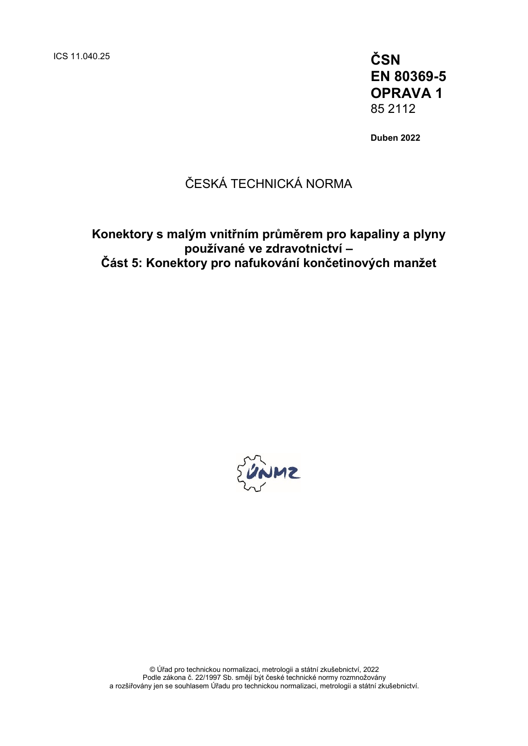ICS 11.040.25 **ČSN**

**EN 80369-5 OPRAVA 1** 85 2112

**Duben 2022**

# ČESKÁ TECHNICKÁ NORMA

**Konektory s malým vnitřním průměrem pro kapaliny a plyny používané ve zdravotnictví – Část 5: Konektory pro nafukování končetinových manžet**



© Úřad pro technickou normalizaci, metrologii a státní zkušebnictví, 2022 Podle zákona č. 22/1997 Sb. smějí být české technické normy rozmnožovány a rozšiřovány jen se souhlasem Úřadu pro technickou normalizaci, metrologii a státní zkušebnictví.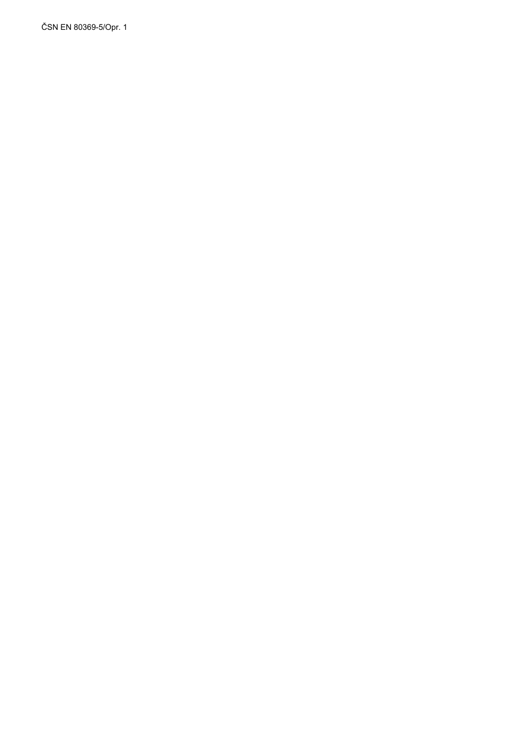ČSN EN 80369-5/Opr. 1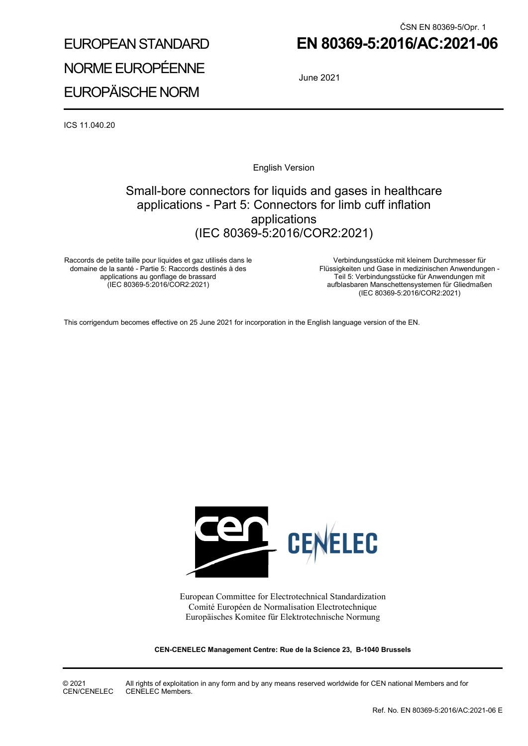# EUROPEAN STANDARD NORME EUROPÉENNE EUROPÄISCHE NORM

June 2021

ICS 11.040.20

English Version

### Small-bore connectors for liquids and gases in healthcare applications - Part 5: Connectors for limb cuff inflation applications (IEC 80369-5:2016/COR2:2021)

Raccords de petite taille pour liquides et gaz utilisés dans le domaine de la santé - Partie 5: Raccords destinés à des applications au gonflage de brassard (IEC 80369-5:2016/COR2:2021)

 Verbindungsstücke mit kleinem Durchmesser für Flüssigkeiten und Gase in medizinischen Anwendungen - Teil 5: Verbindungsstücke für Anwendungen mit aufblasbaren Manschettensystemen für Gliedmaßen (IEC 80369-5:2016/COR2:2021)

This corrigendum becomes effective on 25 June 2021 for incorporation in the English language version of the EN.



European Committee for Electrotechnical Standardization Comité Européen de Normalisation Electrotechnique Europäisches Komitee für Elektrotechnische Normung

**CEN-CENELEC Management Centre: Rue de la Science 23, B-1040 Brussels** 

© 2021 CEN/CENELEC All rights of exploitation in any form and by any means reserved worldwide for CEN national Members and for CENELEC Members.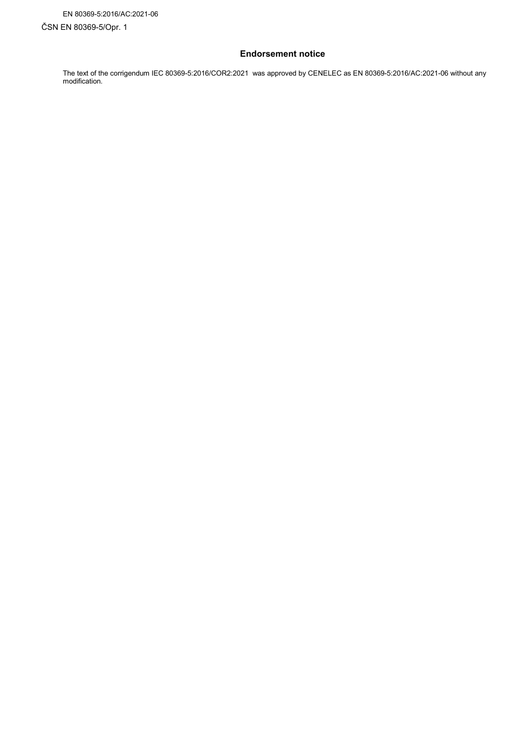EN 80369-5:2016/AC:2021-06

ČSN EN 80369-5/Opr. 1

### **Endorsement notice**

The text of the corrigendum IEC 80369-5:2016/COR2:2021 was approved by CENELEC as EN 80369-5:2016/AC:2021-06 without any modification.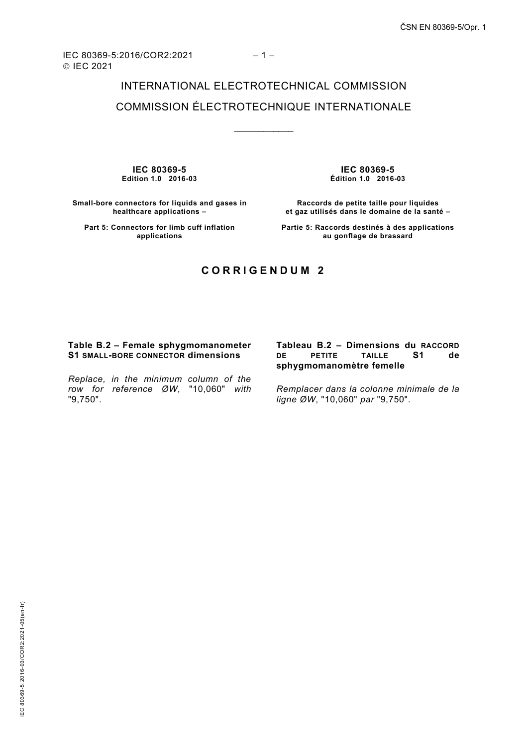IEC 80369-5:2016/COR2:2021 – 1 – © IEC 2021

## INTERNATIONAL ELECTROTECHNICAL COMMISSION COMMISSION ÉLECTROTECHNIQUE INTERNATIONALE

\_\_\_\_\_\_\_\_\_\_\_\_

**IEC 80369-5 Edition 1.0 2016-03**

**Small-bore connectors for liquids and gases in healthcare applications –** 

**Part 5: Connectors for limb cuff inflation applications**

**IEC 80369-5 Édition 1.0 2016-03**

**Raccords de petite taille pour liquides et gaz utilisés dans le domaine de la santé –** 

**Partie 5: Raccords destinés à des applications au gonflage de brassard**

### **CORRIGENDUM 2**

#### **Table B.2 – Female sphygmomanometer S1 SMALL-BORE CONNECTOR dimensions**

*Replace, in the minimum column of the row for reference ØW*, "10,060" *with* "9,750".

#### **Tableau B.2 – Dimensions du RACCORD DE PETITE TAILLE S1 de sphygmomanomètre femelle**

*Remplacer dans la colonne minimale de la ligne ØW*, "10,060" *par* "9,750".